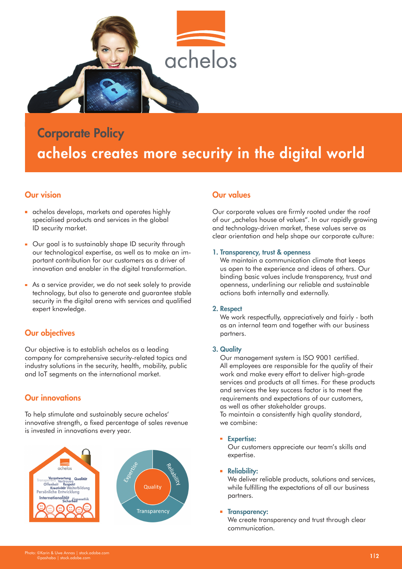

# Corporate Policy achelos creates more security in the digital world

# Our vision

- **a** achelos develops, markets and operates highly specialised products and services in the global ID security market.
- Our goal is to sustainably shape ID security through our technological expertise, as well as to make an important contribution for our customers as a driver of innovation and enabler in the digital transformation.
- As a service provider, we do not seek solely to provide technology, but also to generate and guarantee stable security in the digital arena with services and qualified expert knowledge.

# Our objectives

Our objective is to establish achelos as a leading company for comprehensive security-related topics and industry solutions in the security, health, mobility, public and IoT segments on the international market.

# Our innovations

To help stimulate and sustainably secure achelos' innovative strength, a fixed percentage of sales revenue is invested in innovations every year.



# Our values

Our corporate values are firmly rooted under the roof of our "achelos house of values". In our rapidly growing and technology-driven market, these values serve as clear orientation and help shape our corporate culture:

## 1. Transparency, trust & openness

We maintain a communication climate that keeps us open to the experience and ideas of others. Our binding basic values include transparency, trust and openness, underlining our reliable and sustainable actions both internally and externally.

## 2. Respect

We work respectfully, appreciatively and fairly - both as an internal team and together with our business partners.

## 3. Quality

Our management system is ISO 9001 certified. All employees are responsible for the quality of their work and make every effort to deliver high-grade services and products at all times. For these products and services the key success factor is to meet the requirements and expectations of our customers, as well as other stakeholder groups.

To maintain a consistently high quality standard, we combine:

#### **Expertise:**

Our customers appreciate our team's skills and expertise.

 $\mathbf{r}$ Reliability:

> We deliver reliable products, solutions and services, while fulfilling the expectations of all our business partners.

#### **Transparency:**

We create transparency and trust through clear communication.